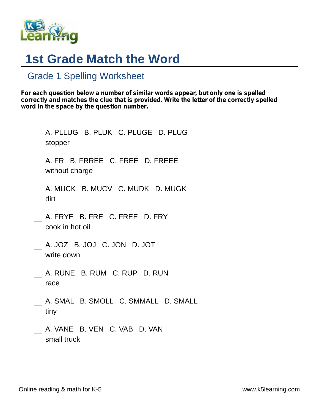

## **1st Grade Match the Word**

## Grade 1 Spelling Worksheet

*For each question below a number of similar words appear, but only one is spelled correctly and matches the clue that is provided. Write the letter of the correctly spelled word in the space by the question number.*

| A. PLLUG B. PLUK C. PLUGE D. PLUG<br>stopper      |
|---------------------------------------------------|
| A. FR B. FRREE C. FREE D. FREEE<br>without charge |
| A. MUCK B. MUCV C. MUDK D. MUGK<br>dirt           |
| A. FRYE B. FRE C. FREE D. FRY<br>cook in hot oil  |
| A. JOZ B. JOJ C. JON D. JOT<br>write down         |
| A. RUNE B. RUM C. RUP D. RUN<br>race              |
| A. SMAL B. SMOLL C. SMMALL D. SMALL<br>tiny       |
| A. VANE B. VEN C. VAB D. VAN<br>small truck       |